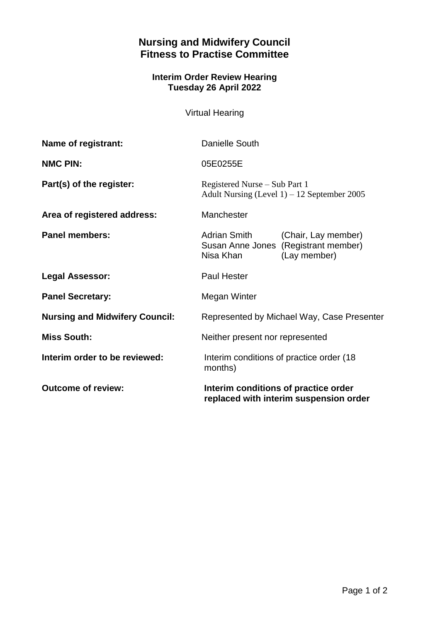## **Nursing and Midwifery Council Fitness to Practise Committee**

## **Interim Order Review Hearing Tuesday 26 April 2022**

Virtual Hearing

| Name of registrant:                   | Danielle South                                                                  |                                                                             |
|---------------------------------------|---------------------------------------------------------------------------------|-----------------------------------------------------------------------------|
| <b>NMC PIN:</b>                       | 05E0255E                                                                        |                                                                             |
| Part(s) of the register:              | Registered Nurse – Sub Part 1<br>Adult Nursing (Level $1$ ) – 12 September 2005 |                                                                             |
| Area of registered address:           | Manchester                                                                      |                                                                             |
| <b>Panel members:</b>                 | Adrian Smith<br>Nisa Khan                                                       | (Chair, Lay member)<br>Susan Anne Jones (Registrant member)<br>(Lay member) |
| <b>Legal Assessor:</b>                | <b>Paul Hester</b>                                                              |                                                                             |
| <b>Panel Secretary:</b>               | Megan Winter                                                                    |                                                                             |
| <b>Nursing and Midwifery Council:</b> | Represented by Michael Way, Case Presenter                                      |                                                                             |
| <b>Miss South:</b>                    | Neither present nor represented                                                 |                                                                             |
| Interim order to be reviewed:         | Interim conditions of practice order (18)<br>months)                            |                                                                             |
| <b>Outcome of review:</b>             | Interim conditions of practice order<br>replaced with interim suspension order  |                                                                             |